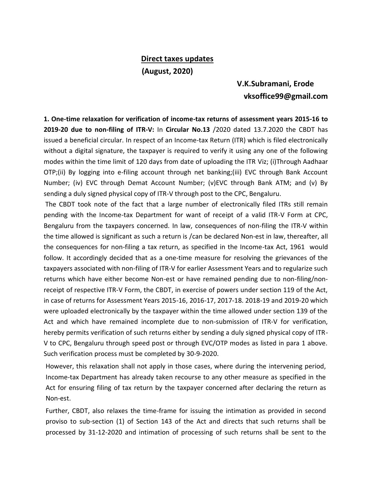## **Direct taxes updates (August, 2020)**

## **V.K.Subramani, Erode vksoffice99@gmail.com**

**1. One-time relaxation for verification of income-tax returns of assessment years 2015-16 to 2019-20 due to non-filing of ITR-V:** In **Circular No.13** /2020 dated 13.7.2020 the CBDT has issued a beneficial circular. In respect of an Income-tax Return (ITR) which is filed electronically without a digital signature, the taxpayer is required to verify it using any one of the following modes within the time limit of 120 days from date of uploading the ITR Viz; (i)Through Aadhaar OTP;(ii) By logging into e-filing account through net banking;(iii) EVC through Bank Account Number; (iv) EVC through Demat Account Number; (v)EVC through Bank ATM; and (v) By sending a duly signed physical copy of ITR-V through post to the CPC, Bengaluru.

The CBDT took note of the fact that a large number of electronically filed ITRs still remain pending with the Income-tax Department for want of receipt of a valid ITR-V Form at CPC, Bengaluru from the taxpayers concerned. In law, consequences of non-filing the ITR-V within the time allowed is significant as such a return is /can be declared Non-est in law, thereafter, all the consequences for non-filing a tax return, as specified in the Income-tax Act, 1961 would follow. It accordingly decided that as a one-time measure for resolving the grievances of the taxpayers associated with non-filing of ITR-V for earlier Assessment Years and to regularize such returns which have either become Non-est or have remained pending due to non-filing/nonreceipt of respective ITR-V Form, the CBDT, in exercise of powers under section 119 of the Act, in case of returns for Assessment Years 2015-16, 2016-17, 2017-18. 2018-19 and 2019-20 which were uploaded electronically by the taxpayer within the time allowed under section 139 of the Act and which have remained incomplete due to non-submission of ITR-V for verification, hereby permits verification of such returns either by sending a duly signed physical copy of ITR-V to CPC, Bengaluru through speed post or through EVC/OTP modes as listed in para 1 above. Such verification process must be completed by 30-9-2020.

However, this relaxation shall not apply in those cases, where during the intervening period, Income-tax Department has already taken recourse to any other measure as specified in the Act for ensuring filing of tax return by the taxpayer concerned after declaring the return as Non-est.

Further, CBDT, also relaxes the time-frame for issuing the intimation as provided in second proviso to sub-section (1) of Section 143 of the Act and directs that such returns shall be processed by 31-12-2020 and intimation of processing of such returns shall be sent to the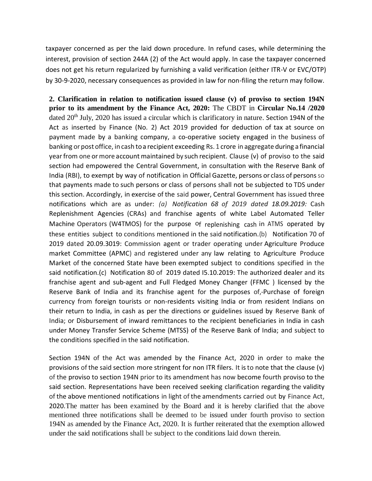taxpayer concerned as per the laid down procedure. In refund cases, while determining the interest, provision of section 244A (2) of the Act would apply. In case the taxpayer concerned does not get his return regularized by furnishing a valid verification (either ITR-V or EVC/OTP) by 30-9-2020, necessary consequences as provided in law for non-filing the return may follow.

**2. Clarification in relation to notification issued clause (v) of proviso to section 194N prior to its amendment by the Finance Act, 2020:** The CBDT in **Circular No.14 /2020** dated 20<sup>th</sup> July, 2020 has issued a circular which is clarificatory in nature. Section 194N of the Act as inserted by Finance (No. 2) Act 2019 provided for deduction of tax at source on payment made by a banking company, a co-operative society engaged in the business of banking or post office, in cash to a recipient exceeding Rs. 1 crore in aggregate during a financial year from one or more account maintained by such recipient. Clause (v) of proviso to the said section had empowered the Central Government, in consultation with the Reserve Bank of India (RBI), to exempt by way of notification in Official Gazette, persons or class of personsso that payments made to such persons or class of persons shall not be subjected to TDS under this section. Accordingly, in exercise of the said power, Central Government has issued three notifications which are as under: *(a) Notification 68 of 2019 dated 18.09.2019:* Cash Replenishment Agencies (CRAs) and franchise agents of white Label Automated Teller Machine Operators (W4TMOS) for the purpose of replenishing cash in ATMS operated by these entities subject to conditions mentioned in the said notification.(b) Notification 70 of 2019 dated 20.09.3019: Commission agent or trader operating under Agriculture Produce market Committee (APMC) and registered under any law relating to Agriculture Produce Market of the concerned State have been exempted subject to conditions specified in the said notification.(c) Notification 80 of 2019 dated I5.10.2019: The authorized dealer and its franchise agent and sub-agent and Full Fledged Money Changer (FFMC ) licensed by the Reserve Bank of India and its franchise agent for the purposes of,-Purchase of foreign currency from foreign tourists or non-residents visiting India or from resident Indians on their return to India, in cash as per the directions or guidelines issued by Reserve Bank of India; or Disbursement of inward remittances to the recipient beneficiaries in India in cash under Money Transfer Service Scheme (MTSS) of the Reserve Bank of India; and subject to the conditions specified in the said notification.

Section 194N of the Act was amended by the Finance Act, 2020 in order to make the provisions of the said section more stringent for non ITR filers. It isto note that the clause (v) of the proviso to section 194N prior to its amendment has now become fourth proviso to the said section. Representations have been received seeking clarification regarding the validity of the above mentioned notifications in light of the amendments carried out by Finance Act, 2020.The matter has been examined by the Board and it is hereby clarified that the above mentioned three notifications shall be deemed to be issued under fourth proviso to section 194N as amended by the Finance Act, 2020. It is further reiterated that the exemption allowed under the said notifications shall be subject to the conditions laid down therein.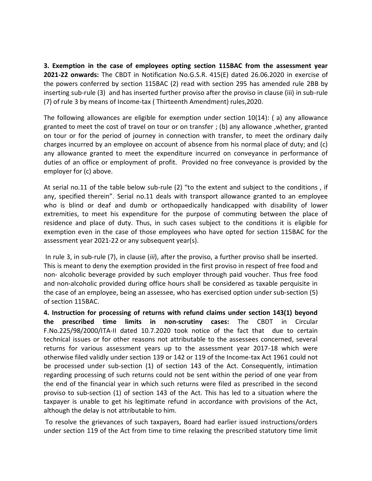**3. Exemption in the case of employees opting section 115BAC from the assessment year 2021-22 onwards:** The CBDT in Notification No.G.S.R. 415(E) dated 26.06.2020 in exercise of the powers conferred by section 115BAC (2) read with section 295 has amended rule 2BB by inserting sub-rule (3) and has inserted further proviso after the proviso in clause (iii) in sub-rule (7) of rule 3 by means of Income-tax ( Thirteenth Amendment) rules,2020.

The following allowances are eligible for exemption under section 10(14): ( a) any allowance granted to meet the cost of travel on tour or on transfer ; (b) any allowance ,whether, granted on tour or for the period of journey in connection with transfer, to meet the ordinary daily charges incurred by an employee on account of absence from his normal place of duty; and (c) any allowance granted to meet the expenditure incurred on conveyance in performance of duties of an office or employment of profit. Provided no free conveyance is provided by the employer for (c) above.

At serial no.11 of the table below sub-rule (2) "to the extent and subject to the conditions , if any, specified therein". Serial no.11 deals with transport allowance granted to an employee who is blind or deaf and dumb or orthopaedically handicapped with disability of lower extremities, to meet his expenditure for the purpose of commuting between the place of residence and place of duty. Thus, in such cases subject to the conditions it is eligible for exemption even in the case of those employees who have opted for section 115BAC for the assessment year 2021-22 or any subsequent year(s).

In rule 3, in sub-rule (7), in clause (*iii*), after the proviso, a further proviso shall be inserted. This is meant to deny the exemption provided in the first proviso in respect of free food and non- alcoholic beverage provided by such employer through paid voucher. Thus free food and non-alcoholic provided during office hours shall be considered as taxable perquisite in the case of an employee, being an assessee, who has exercised option under sub-section (5) of section 115BAC.

**4. Instruction for processing of returns with refund claims under section 143(1) beyond the prescribed time limits in non-scrutiny cases:** The CBDT in Circular F.No.225/98/2000/ITA-II dated 10.7.2020 took notice of the fact that due to certain technical issues or for other reasons not attributable to the assessees concerned, several returns for various assessment years up to the assessment year 2017-18 which were otherwise filed validly under section 139 or 142 or 119 of the Income-tax Act 1961 could not be processed under sub-section (1) of section 143 of the Act. Consequently, intimation regarding processing of such returns could not be sent within the period of one year from the end of the financial year in which such returns were filed as prescribed in the second proviso to sub-section (1) of section 143 of the Act. This has led to a situation where the taxpayer is unable to get his legitimate refund in accordance with provisions of the Act, although the delay is not attributable to him.

To resolve the grievances of such taxpayers, Board had earlier issued instructions/orders under section 119 of the Act from time to time relaxing the prescribed statutory time limit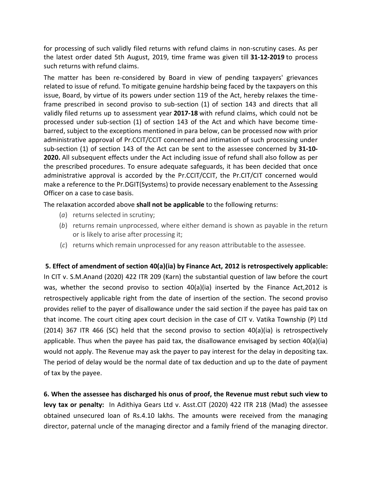for processing of such validly filed returns with refund claims in non-scrutiny cases. As per the latest order dated 5th August, 2019, time frame was given till **31-12-2019** to process such returns with refund claims.

The matter has been re-considered by Board in view of pending taxpayers' grievances related to issue of refund. To mitigate genuine hardship being faced by the taxpayers on this issue, Board, by virtue of its powers under section 119 of the Act, hereby relaxes the timeframe prescribed in second proviso to sub-section (1) of section 143 and directs that all validly filed returns up to assessment year **2017-18** with refund claims, which could not be processed under sub-section (1) of section 143 of the Act and which have become timebarred, subject to the exceptions mentioned in para below, can be processed now with prior administrative approval of Pr.CCIT/CCIT concerned and intimation of such processing under sub-section (1) of section 143 of the Act can be sent to the assessee concerned by **31-10- 2020.** All subsequent effects under the Act including issue of refund shall also follow as per the prescribed procedures. To ensure adequate safeguards, it has been decided that once administrative approval is accorded by the Pr.CCIT/CCIT, the Pr.CIT/CIT concerned would make a reference to the Pr.DGIT(Systems) to provide necessary enablement to the Assessing Officer on a case to case basis.

The relaxation accorded above **shall not be applicable** to the following returns:

- (*a*) returns selected in scrutiny;
- (*b*) returns remain unprocessed, where either demand is shown as payable in the return or is likely to arise after processing it;
- (*c*) returns which remain unprocessed for any reason attributable to the assessee.

**5. Effect of amendment of section 40(a)(ia) by Finance Act, 2012 is retrospectively applicable:**  In CIT v. S.M.Anand (2020) 422 ITR 209 (Karn) the substantial question of law before the court was, whether the second proviso to section 40(a)(ia) inserted by the Finance Act,2012 is retrospectively applicable right from the date of insertion of the section. The second proviso provides relief to the payer of disallowance under the said section if the payee has paid tax on that income. The court citing apex court decision in the case of CIT v. Vatika Township (P) Ltd (2014) 367 ITR 466 (SC) held that the second proviso to section 40(a)(ia) is retrospectively applicable. Thus when the payee has paid tax, the disallowance envisaged by section 40(a)(ia) would not apply. The Revenue may ask the payer to pay interest for the delay in depositing tax. The period of delay would be the normal date of tax deduction and up to the date of payment of tax by the payee.

**6. When the assessee has discharged his onus of proof, the Revenue must rebut such view to levy tax or penalty:** In Adithiya Gears Ltd v. Asst.CIT (2020) 422 ITR 218 (Mad) the assessee obtained unsecured loan of Rs.4.10 lakhs. The amounts were received from the managing director, paternal uncle of the managing director and a family friend of the managing director.